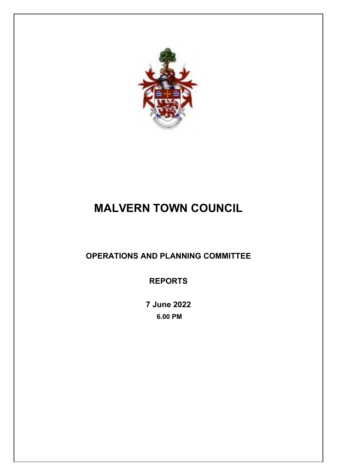

# **MALVERN TOWN COUNCIL**

## **OPERATIONS AND PLANNING COMMITTEE**

**REPORTS**

**7 June 2022 6.00 PM**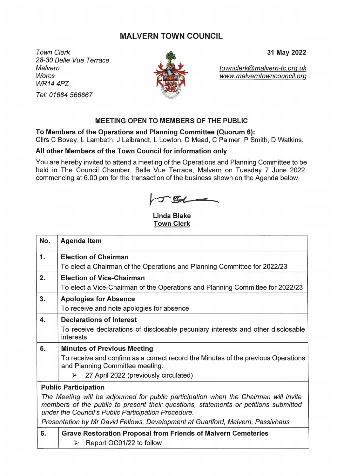### **MALVERN TOWN COUNCIL**

**Town Clerk** 28-30 Belle Vue Terrace Malvern **Worcs WR14 4PZ** Tel: 01684 566667



31 May 2022

townclerk@malvern-tc.org.uk www.malverntowncouncil.org

#### MEETING OPEN TO MEMBERS OF THE PUBLIC

To Members of the Operations and Planning Committee (Quorum 6):

Cllrs C Bovey, L Lambeth, J Leibrandt, L Lowton, D Mead, C Palmer, P Smith, D Watkins.

#### All other Members of the Town Council for information only

You are hereby invited to attend a meeting of the Operations and Planning Committee to be held in The Council Chamber, Belle Vue Terrace, Malvern on Tuesday 7 June 2022, commencing at 6.00 pm for the transaction of the business shown on the Agenda below.

 $\sqrt{T}$ 

**Linda Blake Town Clerk** 

| No.                                                                                                                                                                                                                                | <b>Agenda Item</b>                                                                                                   |  |  |  |  |  |  |  |  |
|------------------------------------------------------------------------------------------------------------------------------------------------------------------------------------------------------------------------------------|----------------------------------------------------------------------------------------------------------------------|--|--|--|--|--|--|--|--|
| 1.                                                                                                                                                                                                                                 | <b>Election of Chairman</b>                                                                                          |  |  |  |  |  |  |  |  |
|                                                                                                                                                                                                                                    | To elect a Chairman of the Operations and Planning Committee for 2022/23                                             |  |  |  |  |  |  |  |  |
| 2.                                                                                                                                                                                                                                 | <b>Election of Vice-Chairman</b>                                                                                     |  |  |  |  |  |  |  |  |
|                                                                                                                                                                                                                                    | To elect a Vice-Chairman of the Operations and Planning Committee for 2022/23                                        |  |  |  |  |  |  |  |  |
| 3.                                                                                                                                                                                                                                 | <b>Apologies for Absence</b>                                                                                         |  |  |  |  |  |  |  |  |
|                                                                                                                                                                                                                                    | To receive and note apologies for absence                                                                            |  |  |  |  |  |  |  |  |
| 4.                                                                                                                                                                                                                                 | <b>Declarations of Interest</b>                                                                                      |  |  |  |  |  |  |  |  |
|                                                                                                                                                                                                                                    | To receive declarations of disclosable pecuniary interests and other disclosable<br>interests                        |  |  |  |  |  |  |  |  |
| 5.                                                                                                                                                                                                                                 | <b>Minutes of Previous Meeting</b>                                                                                   |  |  |  |  |  |  |  |  |
|                                                                                                                                                                                                                                    | To receive and confirm as a correct record the Minutes of the previous Operations<br>and Planning Committee meeting: |  |  |  |  |  |  |  |  |
|                                                                                                                                                                                                                                    | 27 April 2022 (previously circulated)<br>➤                                                                           |  |  |  |  |  |  |  |  |
|                                                                                                                                                                                                                                    | <b>Public Participation</b>                                                                                          |  |  |  |  |  |  |  |  |
| The Meeting will be adjourned for public participation when the Chairman will invite<br>members of the public to present their questions, statements or petitions submitted<br>under the Council's Public Participation Procedure. |                                                                                                                      |  |  |  |  |  |  |  |  |
|                                                                                                                                                                                                                                    | Presentation by Mr David Fellows, Development at Guarlford, Malvern, Passivhaus                                      |  |  |  |  |  |  |  |  |
| 6.                                                                                                                                                                                                                                 | <b>Grave Restoration Proposal from Friends of Malvern Cemeteries</b>                                                 |  |  |  |  |  |  |  |  |
|                                                                                                                                                                                                                                    | Report OC01/22 to follow<br>$\blacktriangleright$                                                                    |  |  |  |  |  |  |  |  |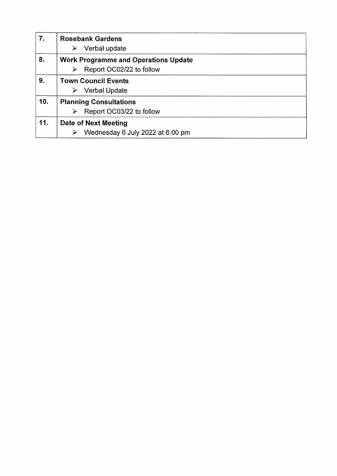| 7.  | <b>Rosebank Gardens</b><br>Verbal update                                     |
|-----|------------------------------------------------------------------------------|
| 8.  | <b>Work Programme and Operations Update</b><br>Report OC02/22 to follow<br>⋗ |
| 9.  | <b>Town Council Events</b><br><b>Verbal Update</b><br>➤                      |
| 10. | <b>Planning Consultations</b><br>Report OC03/22 to follow                    |
| 11. | <b>Date of Next Meeting</b><br>Wednesday 6 July 2022 at 6.00 pm<br>⋗         |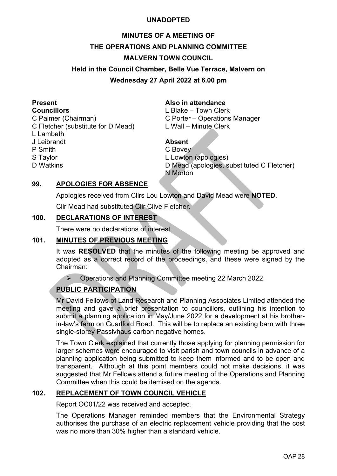#### **UNADOPTED**

## **MINUTES OF A MEETING OF THE OPERATIONS AND PLANNING COMMITTEE MALVERN TOWN COUNCIL Held in the Council Chamber, Belle Vue Terrace, Malvern on Wednesday 27 April 2022 at 6.00 pm**

C Palmer (Chairman) C Porter – Operations Manager

- C Fletcher (substitute for D Mead) L Wall Minute Clerk
- L Lambeth

J Leibrandt **Absent**

P Smith C Bovey

# **Present**<br> **Also in attendance**<br> **Also in attendance**<br> **Also in attendance**<br> **Also in attendance**

L Blake – Town Clerk

S Taylor **Contract Contract Contract Contract Contract Contract Contract Contract Contract Contract Contract Contract Contract Contract Contract Contract Contract Contract Contract Contract Contract Contract Contract Contr** D Watkins D Mead (apologies, substituted C Fletcher) N Morton

#### **99. APOLOGIES FOR ABSENCE**

Apologies received from Cllrs Lou Lowton and David Mead were **NOTED**.

Cllr Mead had substituted Cllr Clive Fletcher.

#### **100. DECLARATIONS OF INTEREST**

There were no declarations of interest.

### **101. MINUTES OF PREVIOUS MEETING**

It was **RESOLVED** that the minutes of the following meeting be approved and adopted as a correct record of the proceedings, and these were signed by the Chairman:

▶ Operations and Planning Committee meeting 22 March 2022.

### **PUBLIC PARTICIPATION**

Mr David Fellows of Land Research and Planning Associates Limited attended the meeting and gave a brief presentation to councillors, outlining his intention to submit a planning application in May/June 2022 for a development at his brotherin-law's farm on Guarlford Road. This will be to replace an existing barn with three single-storey Passivhaus carbon negative homes.

The Town Clerk explained that currently those applying for planning permission for larger schemes were encouraged to visit parish and town councils in advance of a planning application being submitted to keep them informed and to be open and transparent. Although at this point members could not make decisions, it was suggested that Mr Fellows attend a future meeting of the Operations and Planning Committee when this could be itemised on the agenda.

#### **102. REPLACEMENT OF TOWN COUNCIL VEHICLE**

Report OC01/22 was received and accepted.

The Operations Manager reminded members that the Environmental Strategy authorises the purchase of an electric replacement vehicle providing that the cost was no more than 30% higher than a standard vehicle.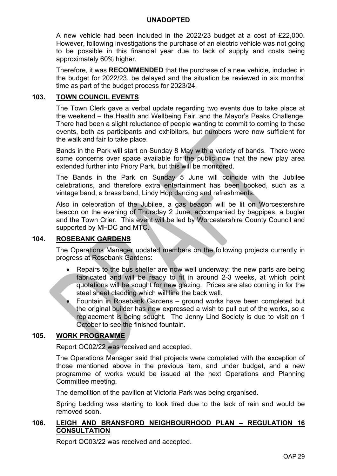#### **UNADOPTED**

A new vehicle had been included in the 2022/23 budget at a cost of £22,000. However, following investigations the purchase of an electric vehicle was not going to be possible in this financial year due to lack of supply and costs being approximately 60% higher.

Therefore, it was **RECOMMENDED** that the purchase of a new vehicle, included in the budget for 2022/23, be delayed and the situation be reviewed in six months' time as part of the budget process for 2023/24.

#### **103. TOWN COUNCIL EVENTS**

The Town Clerk gave a verbal update regarding two events due to take place at the weekend – the Health and Wellbeing Fair, and the Mayor's Peaks Challenge. There had been a slight reluctance of people wanting to commit to coming to these events, both as participants and exhibitors, but numbers were now sufficient for the walk and fair to take place.

Bands in the Park will start on Sunday 8 May with a variety of bands. There were some concerns over space available for the public now that the new play area extended further into Priory Park, but this will be monitored.

The Bands in the Park on Sunday 5 June will coincide with the Jubilee celebrations, and therefore extra entertainment has been booked, such as a vintage band, a brass band, Lindy Hop dancing and refreshments.

Also in celebration of the Jubilee, a gas beacon will be lit on Worcestershire beacon on the evening of Thursday 2 June, accompanied by bagpipes, a bugler and the Town Crier. This event will be led by Worcestershire County Council and supported by MHDC and MTC.

#### **104. ROSEBANK GARDENS**

The Operations Manager updated members on the following projects currently in progress at Rosebank Gardens:

- Repairs to the bus shelter are now well underway; the new parts are being fabricated and will be ready to fit in around 2-3 weeks, at which point quotations will be sought for new glazing. Prices are also coming in for the steel sheet cladding which will line the back wall.
- Fountain in Rosebank Gardens ground works have been completed but the original builder has now expressed a wish to pull out of the works, so a replacement is being sought. The Jenny Lind Society is due to visit on 1 October to see the finished fountain.

#### **105. WORK PROGRAMME**

Report OC02/22 was received and accepted.

The Operations Manager said that projects were completed with the exception of those mentioned above in the previous item, and under budget, and a new programme of works would be issued at the next Operations and Planning Committee meeting.

The demolition of the pavilion at Victoria Park was being organised.

Spring bedding was starting to look tired due to the lack of rain and would be removed soon.

#### **106. LEIGH AND BRANSFORD NEIGHBOURHOOD PLAN – REGULATION 16 CONSULTATION**

Report OC03/22 was received and accepted.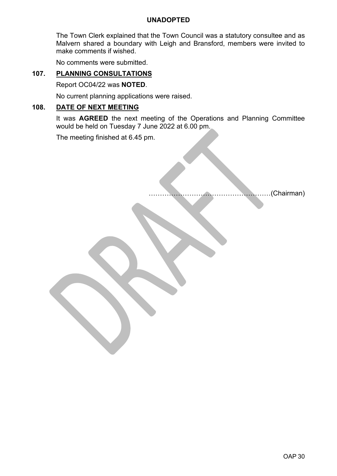#### **UNADOPTED**

The Town Clerk explained that the Town Council was a statutory consultee and as Malvern shared a boundary with Leigh and Bransford, members were invited to make comments if wished.

No comments were submitted.

#### **107. PLANNING CONSULTATIONS**

Report OC04/22 was **NOTED**.

No current planning applications were raised.

#### **108. DATE OF NEXT MEETING**

It was **AGREED** the next meeting of the Operations and Planning Committee would be held on Tuesday 7 June 2022 at 6.00 pm.

The meeting finished at 6.45 pm.

………………………………………………(Chairman)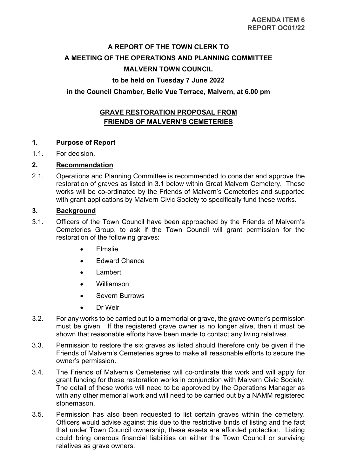## **A REPORT OF THE TOWN CLERK TO A MEETING OF THE OPERATIONS AND PLANNING COMMITTEE MALVERN TOWN COUNCIL**

#### **to be held on Tuesday 7 June 2022**

#### **in the Council Chamber, Belle Vue Terrace, Malvern, at 6.00 pm**

### **GRAVE RESTORATION PROPOSAL FROM FRIENDS OF MALVERN'S CEMETERIES**

#### **1. Purpose of Report**

1.1. For decision.

#### **2. Recommendation**

2.1. Operations and Planning Committee is recommended to consider and approve the restoration of graves as listed in 3.1 below within Great Malvern Cemetery. These works will be co-ordinated by the Friends of Malvern's Cemeteries and supported with grant applications by Malvern Civic Society to specifically fund these works.

#### **3. Background**

- 3.1. Officers of the Town Council have been approached by the Friends of Malvern's Cemeteries Group, to ask if the Town Council will grant permission for the restoration of the following graves:
	- Elmslie
	- Edward Chance
	- Lambert
	- Williamson
	- Severn Burrows
	- Dr Weir
- 3.2. For any works to be carried out to a memorial or grave, the grave owner's permission must be given. If the registered grave owner is no longer alive, then it must be shown that reasonable efforts have been made to contact any living relatives.
- 3.3. Permission to restore the six graves as listed should therefore only be given if the Friends of Malvern's Cemeteries agree to make all reasonable efforts to secure the owner's permission.
- 3.4. The Friends of Malvern's Cemeteries will co-ordinate this work and will apply for grant funding for these restoration works in conjunction with Malvern Civic Society. The detail of these works will need to be approved by the Operations Manager as with any other memorial work and will need to be carried out by a NAMM registered stonemason.
- 3.5. Permission has also been requested to list certain graves within the cemetery. Officers would advise against this due to the restrictive binds of listing and the fact that under Town Council ownership, these assets are afforded protection. Listing could bring onerous financial liabilities on either the Town Council or surviving relatives as grave owners.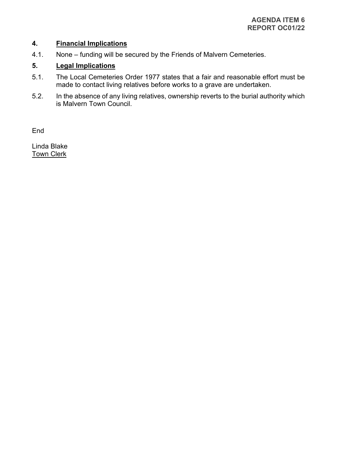#### **4. Financial Implications**

4.1. None – funding will be secured by the Friends of Malvern Cemeteries.

#### **5. Legal Implications**

- 5.1. The Local Cemeteries Order 1977 states that a fair and reasonable effort must be made to contact living relatives before works to a grave are undertaken.
- 5.2. In the absence of any living relatives, ownership reverts to the burial authority which is Malvern Town Council.

End

Linda Blake **Town Clerk**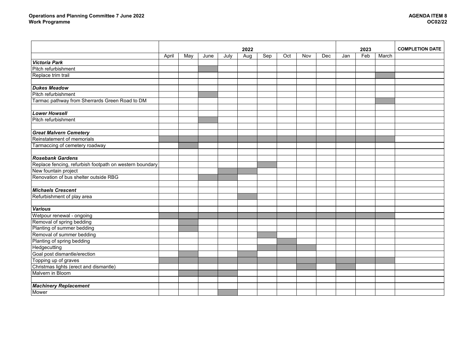|                                                         | 2022  |     |      |      |     |     | 2023 |     |     | <b>COMPLETION DATE</b> |     |       |  |
|---------------------------------------------------------|-------|-----|------|------|-----|-----|------|-----|-----|------------------------|-----|-------|--|
|                                                         | April | May | June | July | Aug | Sep | Oct  | Nov | Dec | Jan                    | Feb | March |  |
| <b>Victoria Park</b>                                    |       |     |      |      |     |     |      |     |     |                        |     |       |  |
| Pitch refurbishment                                     |       |     |      |      |     |     |      |     |     |                        |     |       |  |
| Replace trim trail                                      |       |     |      |      |     |     |      |     |     |                        |     |       |  |
|                                                         |       |     |      |      |     |     |      |     |     |                        |     |       |  |
| <b>Dukes Meadow</b>                                     |       |     |      |      |     |     |      |     |     |                        |     |       |  |
| Pitch refurbishment                                     |       |     |      |      |     |     |      |     |     |                        |     |       |  |
| Tarmac pathway from Sherrards Green Road to DM          |       |     |      |      |     |     |      |     |     |                        |     |       |  |
|                                                         |       |     |      |      |     |     |      |     |     |                        |     |       |  |
| <b>Lower Howsell</b>                                    |       |     |      |      |     |     |      |     |     |                        |     |       |  |
| Pitch refurbishment                                     |       |     |      |      |     |     |      |     |     |                        |     |       |  |
|                                                         |       |     |      |      |     |     |      |     |     |                        |     |       |  |
| <b>Great Malvern Cemetery</b>                           |       |     |      |      |     |     |      |     |     |                        |     |       |  |
| Reinstatement of memorials                              |       |     |      |      |     |     |      |     |     |                        |     |       |  |
| Tarmaccing of cemetery roadway                          |       |     |      |      |     |     |      |     |     |                        |     |       |  |
|                                                         |       |     |      |      |     |     |      |     |     |                        |     |       |  |
| <b>Rosebank Gardens</b>                                 |       |     |      |      |     |     |      |     |     |                        |     |       |  |
| Replace fencing, refurbish footpath on western boundary |       |     |      |      |     |     |      |     |     |                        |     |       |  |
| New fountain project                                    |       |     |      |      |     |     |      |     |     |                        |     |       |  |
| Renovation of bus shelter outside RBG                   |       |     |      |      |     |     |      |     |     |                        |     |       |  |
|                                                         |       |     |      |      |     |     |      |     |     |                        |     |       |  |
| <b>Michaels Crescent</b>                                |       |     |      |      |     |     |      |     |     |                        |     |       |  |
| Refurbishment of play area                              |       |     |      |      |     |     |      |     |     |                        |     |       |  |
|                                                         |       |     |      |      |     |     |      |     |     |                        |     |       |  |
| <b>Various</b>                                          |       |     |      |      |     |     |      |     |     |                        |     |       |  |
| Wetpour renewal - ongoing                               |       |     |      |      |     |     |      |     |     |                        |     |       |  |
| Removal of spring bedding                               |       |     |      |      |     |     |      |     |     |                        |     |       |  |
| Planting of summer bedding                              |       |     |      |      |     |     |      |     |     |                        |     |       |  |
| Removal of summer bedding                               |       |     |      |      |     |     |      |     |     |                        |     |       |  |
| Planting of spring bedding                              |       |     |      |      |     |     |      |     |     |                        |     |       |  |
| Hedgecutting                                            |       |     |      |      |     |     |      |     |     |                        |     |       |  |
| Goal post dismantle/erection                            |       |     |      |      |     |     |      |     |     |                        |     |       |  |
| Topping up of graves                                    |       |     |      |      |     |     |      |     |     |                        |     |       |  |
| Christmas lights (erect and dismantle)                  |       |     |      |      |     |     |      |     |     |                        |     |       |  |
| Malvern in Bloom                                        |       |     |      |      |     |     |      |     |     |                        |     |       |  |
|                                                         |       |     |      |      |     |     |      |     |     |                        |     |       |  |
| <b>Machinery Replacement</b>                            |       |     |      |      |     |     |      |     |     |                        |     |       |  |
| Mower                                                   |       |     |      |      |     |     |      |     |     |                        |     |       |  |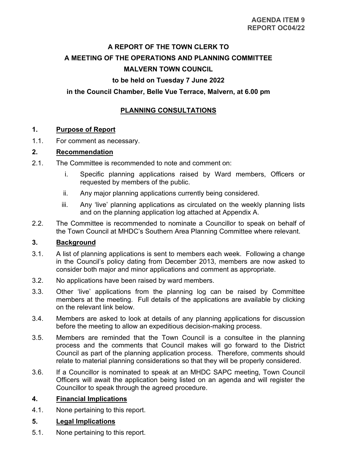## **A REPORT OF THE TOWN CLERK TO A MEETING OF THE OPERATIONS AND PLANNING COMMITTEE MALVERN TOWN COUNCIL**

#### **to be held on Tuesday 7 June 2022**

#### **in the Council Chamber, Belle Vue Terrace, Malvern, at 6.00 pm**

### **PLANNING CONSULTATIONS**

#### **1. Purpose of Report**

1.1. For comment as necessary.

#### **2. Recommendation**

- 2.1. The Committee is recommended to note and comment on:
	- i. Specific planning applications raised by Ward members, Officers or requested by members of the public.
	- ii. Any major planning applications currently being considered.
	- iii. Any 'live' planning applications as circulated on the weekly planning lists and on the planning application log attached at Appendix A.
- 2.2. The Committee is recommended to nominate a Councillor to speak on behalf of the Town Council at MHDC's Southern Area Planning Committee where relevant.

#### **3. Background**

- 3.1. A list of planning applications is sent to members each week. Following a change in the Council's policy dating from December 2013, members are now asked to consider both major and minor applications and comment as appropriate.
- 3.2. No applications have been raised by ward members.
- 3.3. Other 'live' applications from the planning log can be raised by Committee members at the meeting. Full details of the applications are available by clicking on the relevant link below.
- 3.4. Members are asked to look at details of any planning applications for discussion before the meeting to allow an expeditious decision-making process.
- 3.5. Members are reminded that the Town Council is a consultee in the planning process and the comments that Council makes will go forward to the District Council as part of the planning application process. Therefore, comments should relate to material planning considerations so that they will be properly considered.
- 3.6. If a Councillor is nominated to speak at an MHDC SAPC meeting, Town Council Officers will await the application being listed on an agenda and will register the Councillor to speak through the agreed procedure.

#### **4. Financial Implications**

4.1. None pertaining to this report.

#### **5. Legal Implications**

5.1. None pertaining to this report.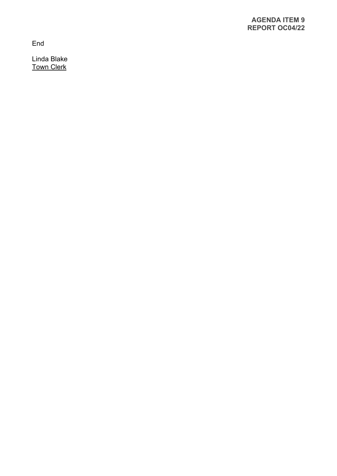End

Linda Blake Town Clerk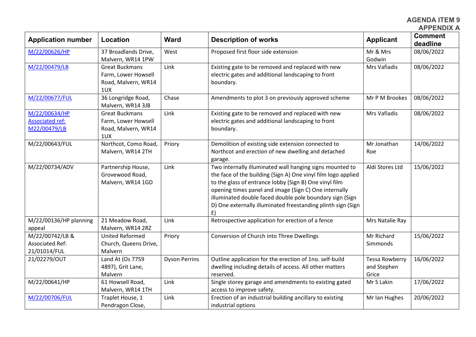**AGENDA ITEM 9 APPENDIX A**

| <b>Application number</b>                                 | Location                                                                   | <b>Ward</b>          | <b>Description of works</b>                                                                                                                                                                                                                                                                                                                                                    | <b>Applicant</b>                              | <b>Comment</b><br>deadline |
|-----------------------------------------------------------|----------------------------------------------------------------------------|----------------------|--------------------------------------------------------------------------------------------------------------------------------------------------------------------------------------------------------------------------------------------------------------------------------------------------------------------------------------------------------------------------------|-----------------------------------------------|----------------------------|
| M/22/00626/HP                                             | 37 Broadlands Drive,<br>Malvern, WR14 1PW                                  | West                 | Proposed first floor side extension                                                                                                                                                                                                                                                                                                                                            | Mr & Mrs<br>Godwin                            | 08/06/2022                 |
| M/22/00479/LB                                             | <b>Great Buckmans</b><br>Farm, Lower Howsell<br>Road, Malvern, WR14<br>1UX | Link                 | Existing gate to be removed and replaced with new<br>electric gates and additional landscaping to front<br>boundary.                                                                                                                                                                                                                                                           | Mrs Vafiadis                                  | 08/06/2022                 |
| M/22/00677/FUL                                            | 36 Longridge Road,<br>Malvern, WR14 3JB                                    | Chase                | Amendments to plot 3 on previously approved scheme                                                                                                                                                                                                                                                                                                                             | Mr P M Brookes                                | 08/06/2022                 |
| M/22/00634/HP<br><b>Associated ref:</b><br>M22/00479/LB   | <b>Great Buckmans</b><br>Farm, Lower Howsell<br>Road, Malvern, WR14<br>1UX | Link                 | Existing gate to be removed and replaced with new<br>electric gates and additional landscaping to front<br>boundary.                                                                                                                                                                                                                                                           | Mrs Vafiadis                                  | 08/06/2022                 |
| M/22/00643/FUL                                            | Northcot, Como Road,<br>Malvern, WR14 2TH                                  | Priory               | Demolition of existing side extension connected to<br>Northcot and erection of new dwelling and detached<br>garage.                                                                                                                                                                                                                                                            | Mr Jonathan<br>Roe                            | 14/06/2022                 |
| M/22/00734/ADV                                            | Partnership House,<br>Grovewood Road,<br>Malvern, WR14 1GD                 | Link                 | Two internally illuminated wall hanging signs mounted to<br>the face of the building (Sign A) One vinyl film logo applied<br>to the glass of entrance lobby (Sign B) One vinyl film<br>opening times panel and image (Sign C) One internally<br>illuminated double faced double pole boundary sign (Sign<br>D) One externally illuminated freestanding plinth sign (Sign<br>E) | Aldi Stores Ltd                               | 15/06/2022                 |
| M/22/00136/HP planning<br>appeal                          | 21 Meadow Road,<br>Malvern, WR14 2RZ                                       | Link                 | Retrospective application for erection of a fence                                                                                                                                                                                                                                                                                                                              | Mrs Natalie Ray                               |                            |
| M/22/00742/LB &<br><b>Associated Ref:</b><br>21/01014/FUL | <b>United Reformed</b><br>Church, Queens Drive,<br>Malvern                 | Priory               | Conversion of Church into Three Dwellings                                                                                                                                                                                                                                                                                                                                      | Mr Richard<br>Simmonds                        | 15/06/2022                 |
| 21/02279/OUT                                              | Land At (Os 7759<br>4897), Grit Lane,<br>Malvern                           | <b>Dyson Perrins</b> | Outline application for the erection of 1no. self-build<br>dwelling including details of access. All other matters<br>reserved.                                                                                                                                                                                                                                                | <b>Tessa Rowberry</b><br>and Stephen<br>Grice | 16/06/2022                 |
| M/22/00641/HP                                             | 61 Howsell Road,<br>Malvern, WR14 1TH                                      | Link                 | Single storey garage and amendments to existing gated<br>access to improve safety.                                                                                                                                                                                                                                                                                             | Mr S Lakin                                    | 17/06/2022                 |
| M/22/00706/FUL                                            | Traplet House, 1<br>Pendragon Close,                                       | Link                 | Erection of an industrial building ancillary to existing<br>industrial options                                                                                                                                                                                                                                                                                                 | Mr Ian Hughes                                 | 20/06/2022                 |